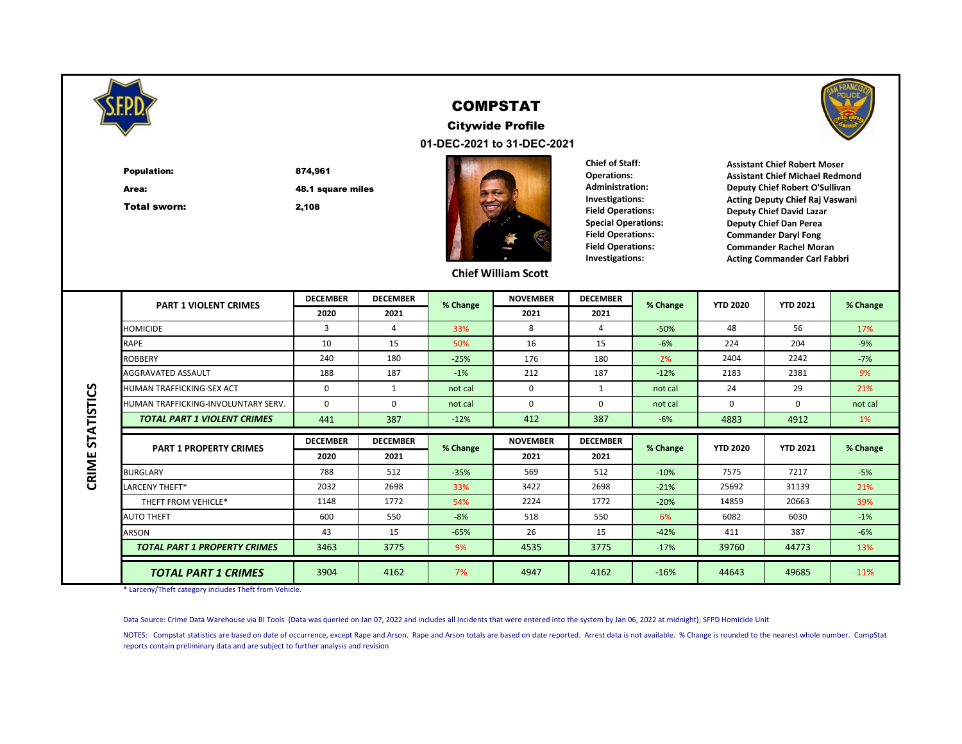

#### COMPSTAT

**01-DEC-2021 to 31-DEC-2021** Citywide Profile



Area:

Total sworn:

48.1 square miles

874,961

2,108



**Chief of Staff: Operations: Administration: Investigations: Field Operations: Special Operations: Field Operations: Field Operations: Investigations:**



**Assistant Chief Robert Moser Assistant Chief Michael Redmond Deputy Chief Robert O'Sullivan Acting Deputy Chief Raj Vaswani Deputy Chief David Lazar Deputy Chief Dan Perea Commander Daryl Fong Commander Rachel Moran Acting Commander Carl Fabbri**

#### **Chief William Scott**

|                   | <b>PART 1 VIOLENT CRIMES</b>        | <b>DECEMBER</b> | <b>DECEMBER</b> | % Change | <b>NOVEMBER</b> | <b>DECEMBER</b> | % Change | <b>YTD 2020</b> | <b>YTD 2021</b> | % Change |
|-------------------|-------------------------------------|-----------------|-----------------|----------|-----------------|-----------------|----------|-----------------|-----------------|----------|
|                   |                                     | 2020            | 2021            |          | 2021            | 2021            |          |                 |                 |          |
|                   | <b>HOMICIDE</b>                     | 3               | 4               | 33%      | 8               | 4               | $-50%$   | 48              | 56              | 17%      |
|                   | RAPE                                | 10              | 15              | 50%      | 16              | 15              | $-6%$    | 224             | 204             | $-9%$    |
|                   | <b>ROBBERY</b>                      | 240             | 180             | $-25%$   | 176             | 180             | 2%       | 2404            | 2242            | $-7%$    |
|                   | AGGRAVATED ASSAULT                  | 188             | 187             | $-1%$    | 212             | 187             | $-12%$   | 2183            | 2381            | 9%       |
|                   | HUMAN TRAFFICKING-SEX ACT           | 0               | 1               | not cal  | 0               | 1               | not cal  | 24              | 29              | 21%      |
|                   | HUMAN TRAFFICKING-INVOLUNTARY SERV. | 0               | 0               | not cal  | $\Omega$        | $\Omega$        | not cal  | $\Omega$        | $\Omega$        | not cal  |
|                   | <b>TOTAL PART 1 VIOLENT CRIMES</b>  | 441             | 387             | $-12%$   | 412             | 387             | $-6%$    | 4883            | 4912            | 1%       |
| <b>STATISTICS</b> |                                     | <b>DECEMBER</b> | <b>DECEMBER</b> |          | <b>NOVEMBER</b> | <b>DECEMBER</b> |          |                 |                 |          |
|                   | <b>PART 1 PROPERTY CRIMES</b>       | 2020            | 2021            | % Change | 2021            | 2021            | % Change | <b>YTD 2020</b> | <b>YTD 2021</b> | % Change |
| CRIME             | <b>BURGLARY</b>                     | 788             | 512             | $-35%$   | 569             | 512             | $-10%$   | 7575            | 7217            | $-5%$    |
|                   | LARCENY THEFT*                      | 2032            | 2698            | 33%      | 3422            | 2698            | $-21%$   | 25692           | 31139           | 21%      |
|                   | THEFT FROM VEHICLE*                 | 1148            | 1772            | 54%      | 2224            | 1772            | $-20%$   | 14859           | 20663           | 39%      |
|                   | <b>AUTO THEFT</b>                   | 600             | 550             | $-8%$    | 518             | 550             | 6%       | 6082            | 6030            | $-1%$    |
|                   | <b>ARSON</b>                        | 43              | 15              | $-65%$   | 26              | 15              | $-42%$   | 411             | 387             | $-6%$    |
|                   | <b>TOTAL PART 1 PROPERTY CRIMES</b> | 3463            | 3775            | 9%       | 4535            | 3775            | $-17%$   | 39760           | 44773           | 13%      |
|                   | <b>TOTAL PART 1 CRIMES</b>          | 3904            | 4162            | 7%       | 4947            | 4162            | $-16%$   | 44643           | 49685           | 11%      |

\* Larceny/Theft category includes Theft from Vehicle.

Data Source: Crime Data Warehouse via BI Tools (Data was queried on Jan 07, 2022 and includes all Incidents that were entered into the system by Jan 06, 2022 at midnight); SFPD Homicide Unit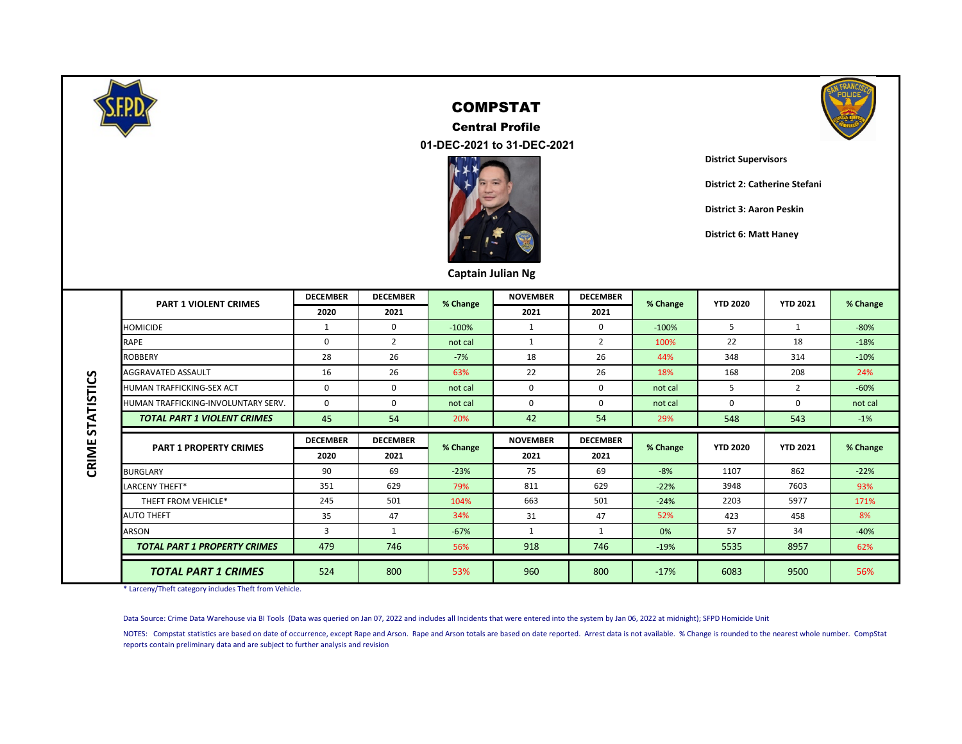

CRIME STATISTICS

#### COMPSTAT

 **01-DEC-2021 to 31-DEC-2021** Central Profile





**District Supervisors**

**District 2: Catherine Stefani**

**District 3: Aaron Peskin**

**District 6: Matt Haney**

| Captain Julian Ng |  |
|-------------------|--|
|-------------------|--|

| <b>PART 1 VIOLENT CRIMES</b>        | <b>DECEMBER</b> | <b>DECEMBER</b> | % Change | <b>NOVEMBER</b> | <b>DECEMBER</b> | % Change | <b>YTD 2020</b> | <b>YTD 2021</b> | % Change |
|-------------------------------------|-----------------|-----------------|----------|-----------------|-----------------|----------|-----------------|-----------------|----------|
|                                     | 2020            | 2021            |          | 2021            | 2021            |          |                 |                 |          |
| <b>HOMICIDE</b>                     | 1               | 0               | $-100%$  | 1               | 0               | $-100%$  | 5               | 1               | $-80%$   |
| <b>RAPE</b>                         | $\Omega$        | 2               | not cal  | $\mathbf{1}$    | 2               | 100%     | 22              | 18              | $-18%$   |
| <b>ROBBERY</b>                      | 28              | 26              | $-7%$    | 18              | 26              | 44%      | 348             | 314             | $-10%$   |
| <b>AGGRAVATED ASSAULT</b>           | 16              | 26              | 63%      | 22              | 26              | 18%      | 168             | 208             | 24%      |
| <b>HUMAN TRAFFICKING-SEX ACT</b>    | 0               | 0               | not cal  | $\mathbf 0$     | 0               | not cal  | 5               | 2               | $-60%$   |
| HUMAN TRAFFICKING-INVOLUNTARY SERV. | 0               | 0               | not cal  | 0               | 0               | not cal  | $\Omega$        | 0               | not cal  |
| <b>TOTAL PART 1 VIOLENT CRIMES</b>  | 45              | 54              | 20%      | 42              | 54              | 29%      | 548             | 543             | $-1%$    |
|                                     | <b>DECEMBER</b> | <b>DECEMBER</b> |          | <b>NOVEMBER</b> | <b>DECEMBER</b> |          |                 |                 |          |
| <b>PART 1 PROPERTY CRIMES</b>       | 2020            | 2021            | % Change | 2021            | 2021            | % Change | <b>YTD 2020</b> | <b>YTD 2021</b> | % Change |
| <b>BURGLARY</b>                     | 90              | 69              | $-23%$   | 75              | 69              | $-8%$    | 1107            | 862             | $-22%$   |
| LARCENY THEFT*                      | 351             | 629             | 79%      | 811             | 629             | $-22%$   | 3948            | 7603            | 93%      |
| THEFT FROM VEHICLE*                 | 245             | 501             | 104%     | 663             | 501             | $-24%$   | 2203            | 5977            | 171%     |
| <b>AUTO THEFT</b>                   | 35              | 47              | 34%      | 31              | 47              | 52%      | 423             | 458             | 8%       |
| <b>ARSON</b>                        | 3               | 1               | $-67%$   | $\mathbf{1}$    | 1               | 0%       | 57              | 34              | $-40%$   |
| <b>TOTAL PART 1 PROPERTY CRIMES</b> | 479             | 746             | 56%      | 918             | 746             | $-19%$   | 5535            | 8957            | 62%      |
| <b>TOTAL PART 1 CRIMES</b>          | 524             | 800             | 53%      | 960             | 800             | $-17%$   | 6083            | 9500            | 56%      |

\* Larceny/Theft category includes Theft from Vehicle.

Data Source: Crime Data Warehouse via BI Tools (Data was queried on Jan 07, 2022 and includes all Incidents that were entered into the system by Jan 06, 2022 at midnight); SFPD Homicide Unit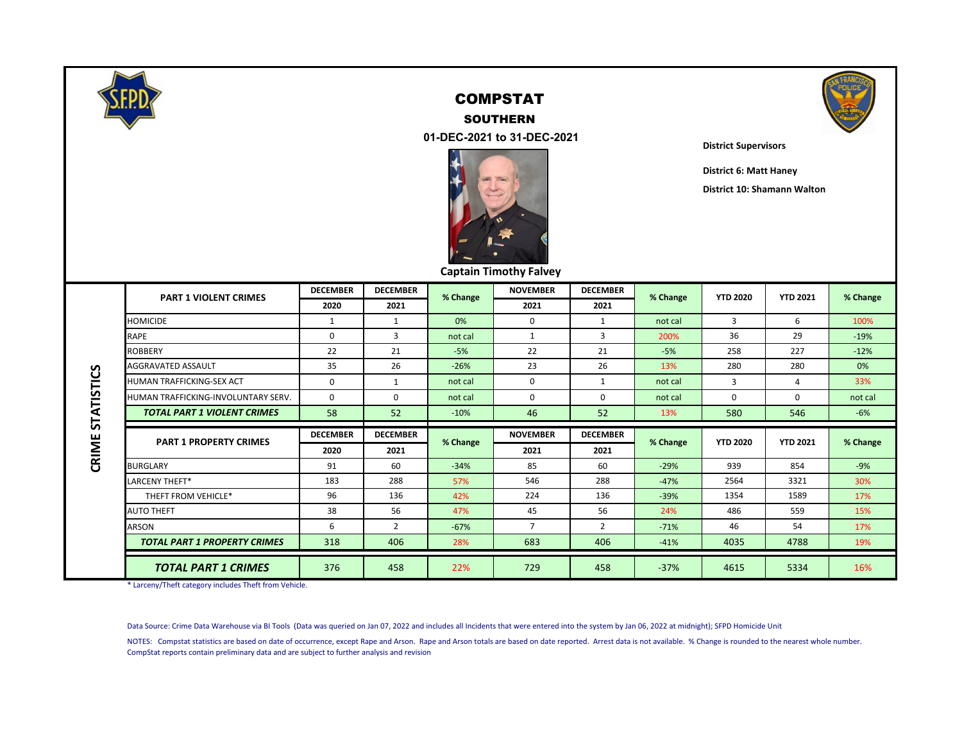

## COMPSTAT SOUTHERN



 **01-DEC-2021 to 31-DEC-2021**



**District Supervisors**

**District 6: Matt Haney**

**District 10: Shamann Walton**

|  | <b>Captain Timothy Falvey</b> |  |
|--|-------------------------------|--|
|--|-------------------------------|--|

|                   | <b>PART 1 VIOLENT CRIMES</b>        | <b>DECEMBER</b> | <b>DECEMBER</b> | % Change | <b>NOVEMBER</b> | <b>DECEMBER</b> | % Change | <b>YTD 2020</b> | <b>YTD 2021</b> | % Change |  |
|-------------------|-------------------------------------|-----------------|-----------------|----------|-----------------|-----------------|----------|-----------------|-----------------|----------|--|
|                   |                                     | 2020            | 2021            |          | 2021            | 2021            |          |                 |                 |          |  |
|                   | <b>HOMICIDE</b>                     |                 | 1               | 0%       | 0               | $\mathbf{1}$    | not cal  | $\overline{3}$  | 6               | 100%     |  |
|                   | RAPE                                | 0               | 3               | not cal  | 1               | 3               | 200%     | 36              | 29              | $-19%$   |  |
|                   | <b>ROBBERY</b>                      | 22              | 21              | $-5%$    | 22              | 21              | $-5%$    | 258             | 227             | $-12%$   |  |
|                   | <b>AGGRAVATED ASSAULT</b>           | 35              | 26              | $-26%$   | 23              | 26              | 13%      | 280             | 280             | 0%       |  |
|                   | <b>HUMAN TRAFFICKING-SEX ACT</b>    | 0               |                 | not cal  | 0               | $\mathbf{1}$    | not cal  | $\overline{3}$  | 4               | 33%      |  |
|                   | HUMAN TRAFFICKING-INVOLUNTARY SERV. | 0               | $\Omega$        | not cal  | 0               | $\Omega$        | not cal  | 0               | 0               | not cal  |  |
| <b>STATISTICS</b> | <b>TOTAL PART 1 VIOLENT CRIMES</b>  | 58              | 52              | $-10%$   | 46              | 52              | 13%      | 580             | 546             | $-6%$    |  |
|                   |                                     | <b>DECEMBER</b> | <b>DECEMBER</b> |          | <b>NOVEMBER</b> | <b>DECEMBER</b> |          |                 |                 |          |  |
|                   |                                     |                 |                 |          |                 |                 |          |                 |                 |          |  |
|                   | <b>PART 1 PROPERTY CRIMES</b>       | 2020            | 2021            | % Change | 2021            | 2021            | % Change | <b>YTD 2020</b> | <b>YTD 2021</b> | % Change |  |
|                   | <b>BURGLARY</b>                     | 91              | 60              | $-34%$   | 85              | 60              | $-29%$   | 939             | 854             | $-9%$    |  |
|                   | LARCENY THEFT*                      | 183             | 288             | 57%      | 546             | 288             | $-47%$   | 2564            | 3321            | 30%      |  |
|                   | THEFT FROM VEHICLE*                 | 96              | 136             | 42%      | 224             | 136             | $-39%$   | 1354            | 1589            | 17%      |  |
|                   | <b>AUTO THEFT</b>                   | 38              | 56              | 47%      | 45              | 56              | 24%      | 486             | 559             | 15%      |  |
|                   | ARSON                               | 6               | $\overline{2}$  | $-67%$   | $\overline{7}$  | $\overline{2}$  | $-71%$   | 46              | 54              | 17%      |  |
| CRIME             | <b>TOTAL PART 1 PROPERTY CRIMES</b> | 318             | 406             | 28%      | 683             | 406             | $-41%$   | 4035            | 4788            | 19%      |  |

\* Larceny/Theft category includes Theft from Vehicle.

Data Source: Crime Data Warehouse via BI Tools (Data was queried on Jan 07, 2022 and includes all Incidents that were entered into the system by Jan 06, 2022 at midnight); SFPD Homicide Unit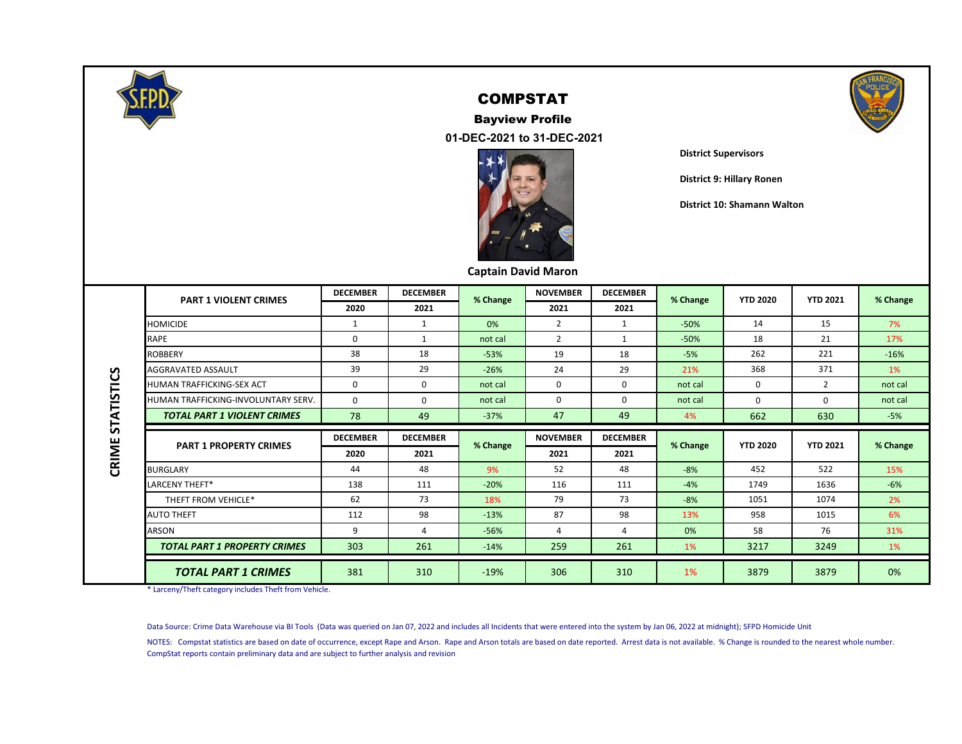

# Bayview Profile



 **01-DEC-2021 to 31-DEC-2021**



#### **District Supervisors**

**District 9: Hillary Ronen**

**District 10: Shamann Walton**

#### **Captain David Maron**

|                   | <b>PART 1 VIOLENT CRIMES</b>        | <b>DECEMBER</b> | <b>DECEMBER</b> | % Change | <b>NOVEMBER</b> | <b>DECEMBER</b> | % Change | <b>YTD 2020</b> | <b>YTD 2021</b> | % Change |
|-------------------|-------------------------------------|-----------------|-----------------|----------|-----------------|-----------------|----------|-----------------|-----------------|----------|
|                   |                                     | 2020            | 2021            |          | 2021            | 2021            |          |                 |                 |          |
|                   | <b>HOMICIDE</b>                     | 1               | 1               | 0%       | $\overline{2}$  | 1               | $-50%$   | 14              | 15              | 7%       |
|                   | RAPE                                | 0               | 1               | not cal  | $\overline{2}$  | 1               | $-50%$   | 18              | 21              | 17%      |
|                   | <b>ROBBERY</b>                      | 38              | 18              | $-53%$   | 19              | 18              | $-5%$    | 262             | 221             | $-16%$   |
|                   | <b>AGGRAVATED ASSAULT</b>           | 39              | 29              | $-26%$   | 24              | 29              | 21%      | 368             | 371             | 1%       |
| <b>STATISTICS</b> | <b>HUMAN TRAFFICKING-SEX ACT</b>    | 0               | $\Omega$        | not cal  | $\Omega$        | $\Omega$        | not cal  | $\Omega$        | $\overline{2}$  | not cal  |
|                   | HUMAN TRAFFICKING-INVOLUNTARY SERV. | $\mathbf 0$     | $\Omega$        | not cal  | $\Omega$        | $\Omega$        | not cal  | 0               | $\Omega$        | not cal  |
|                   | <b>TOTAL PART 1 VIOLENT CRIMES</b>  | 78              | 49              | $-37%$   | 47              | 49              | 4%       | 662             | 630             | $-5%$    |
|                   |                                     | <b>DECEMBER</b> | <b>DECEMBER</b> |          | <b>NOVEMBER</b> | <b>DECEMBER</b> |          |                 |                 |          |
| CRIME             | <b>PART 1 PROPERTY CRIMES</b>       | 2020            | 2021            | % Change | 2021            | 2021            | % Change | <b>YTD 2020</b> | <b>YTD 2021</b> | % Change |
|                   | <b>BURGLARY</b>                     | 44              | 48              | 9%       | 52              | 48              | $-8%$    | 452             | 522             | 15%      |
|                   | LARCENY THEFT*                      | 138             | 111             | $-20%$   | 116             | 111             | $-4%$    | 1749            | 1636            | $-6%$    |
|                   | THEFT FROM VEHICLE*                 | 62              | 73              | 18%      | 79              | 73              | $-8%$    | 1051            | 1074            | 2%       |
|                   |                                     |                 |                 |          |                 |                 |          |                 |                 |          |
|                   | <b>AUTO THEFT</b>                   | 112             | 98              | $-13%$   | 87              | 98              | 13%      | 958             | 1015            | 6%       |
|                   | <b>ARSON</b>                        | 9               | 4               | $-56%$   | 4               | 4               | 0%       | 58              | 76              | 31%      |
|                   | <b>TOTAL PART 1 PROPERTY CRIMES</b> | 303             | 261             | $-14%$   | 259             | 261             | 1%       | 3217            | 3249            | 1%       |

\* Larceny/Theft category includes Theft from Vehicle.

Data Source: Crime Data Warehouse via BI Tools (Data was queried on Jan 07, 2022 and includes all Incidents that were entered into the system by Jan 06, 2022 at midnight); SFPD Homicide Unit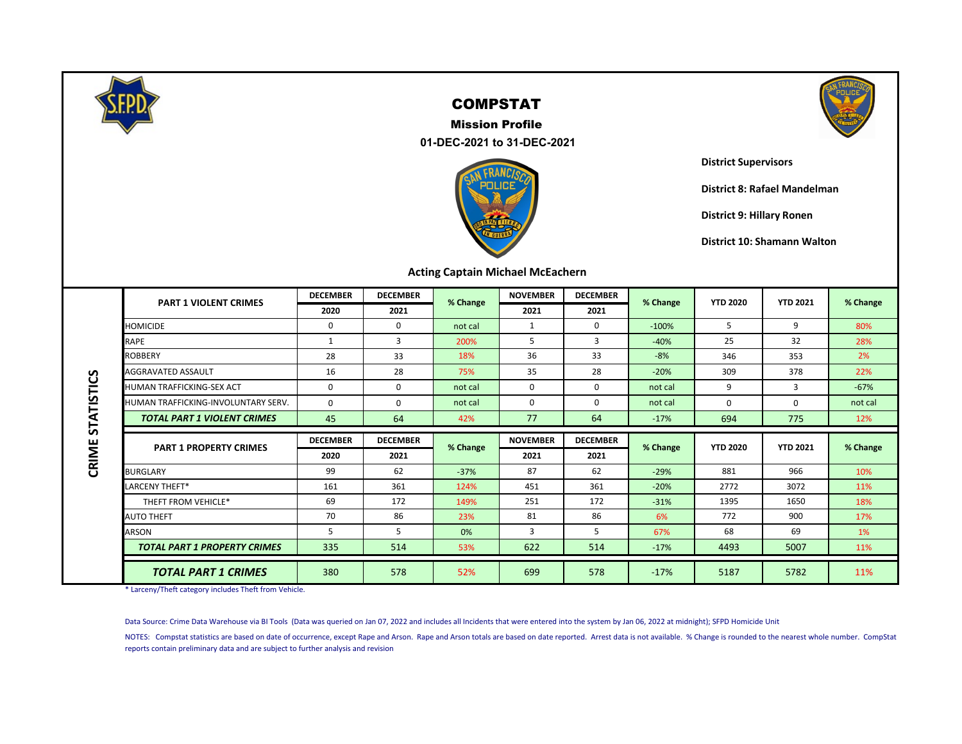

 **01-DEC-2021 to 31-DEC-2021** Mission Profile





**District Supervisors**

**District 8: Rafael Mandelman**

**District 9: Hillary Ronen**

**District 10: Shamann Walton**

#### **Acting Captain Michael McEachern**

|                   | <b>PART 1 VIOLENT CRIMES</b>        | <b>DECEMBER</b> | <b>DECEMBER</b> | % Change | <b>NOVEMBER</b> | <b>DECEMBER</b> | % Change | <b>YTD 2020</b> | <b>YTD 2021</b> | % Change |
|-------------------|-------------------------------------|-----------------|-----------------|----------|-----------------|-----------------|----------|-----------------|-----------------|----------|
|                   |                                     | 2020            | 2021            |          | 2021            | 2021            |          |                 |                 |          |
|                   | <b>HOMICIDE</b>                     | 0               | 0               | not cal  |                 | $\Omega$        | $-100%$  | 5               | 9               | 80%      |
|                   | RAPE                                | 1               | $\overline{3}$  | 200%     | 5               | 3               | $-40%$   | 25              | 32              | 28%      |
|                   | <b>ROBBERY</b>                      | 28              | 33              | 18%      | 36              | 33              | $-8%$    | 346             | 353             | 2%       |
|                   | AGGRAVATED ASSAULT                  | 16              | 28              | 75%      | 35              | 28              | $-20%$   | 309             | 378             | 22%      |
|                   | <b>HUMAN TRAFFICKING-SEX ACT</b>    | 0               | 0               | not cal  | 0               | 0               | not cal  | 9               | 3               | $-67%$   |
| <b>STATISTICS</b> | HUMAN TRAFFICKING-INVOLUNTARY SERV. | $\Omega$        | $\Omega$        | not cal  | 0               | $\Omega$        | not cal  | $\Omega$        | 0               | not cal  |
|                   | <b>TOTAL PART 1 VIOLENT CRIMES</b>  | 45              | 64              | 42%      | 77              | 64              | $-17%$   | 694             | 775             | 12%      |
|                   |                                     |                 |                 |          |                 |                 |          |                 |                 |          |
|                   |                                     | <b>DECEMBER</b> | <b>DECEMBER</b> |          | <b>NOVEMBER</b> | <b>DECEMBER</b> |          |                 |                 |          |
|                   | <b>PART 1 PROPERTY CRIMES</b>       | 2020            | 2021            | % Change | 2021            | 2021            | % Change | <b>YTD 2020</b> | <b>YTD 2021</b> | % Change |
|                   | <b>BURGLARY</b>                     | 99              | 62              | $-37%$   | 87              | 62              | $-29%$   | 881             | 966             | 10%      |
|                   | LARCENY THEFT*                      | 161             | 361             | 124%     | 451             | 361             | $-20%$   | 2772            | 3072            | 11%      |
|                   | THEFT FROM VEHICLE*                 | 69              | 172             | 149%     | 251             | 172             | $-31%$   | 1395            | 1650            | 18%      |
|                   | <b>AUTO THEFT</b>                   | 70              | 86              | 23%      | 81              | 86              | 6%       | 772             | 900             | 17%      |
|                   | <b>ARSON</b>                        | 5               | 5               | 0%       | 3               | 5               | 67%      | 68              | 69              | 1%       |
| CRIME             | <b>TOTAL PART 1 PROPERTY CRIMES</b> | 335             | 514             | 53%      | 622             | 514             | $-17%$   | 4493            | 5007            | 11%      |

\* Larceny/Theft category includes Theft from Vehicle.

Data Source: Crime Data Warehouse via BI Tools (Data was queried on Jan 07, 2022 and includes all Incidents that were entered into the system by Jan 06, 2022 at midnight); SFPD Homicide Unit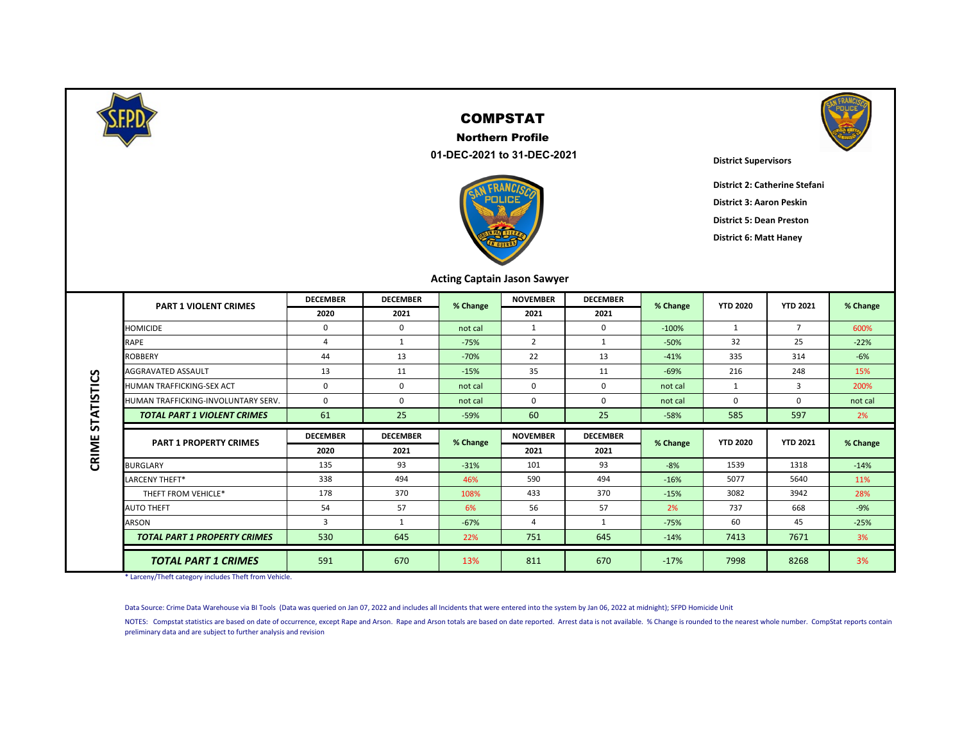

CRIME STATISTICS

#### COMPSTAT

 **01-DEC-2021 to 31-DEC-2021** Northern Profile





**District Supervisors**

**District 2: Catherine Stefani**

**District 3: Aaron Peskin**

**District 5: Dean Preston**

**District 6: Matt Haney**

#### **Acting Captain Jason Sawyer**

| <b>PART 1 VIOLENT CRIMES</b>        | <b>DECEMBER</b> | <b>DECEMBER</b> | % Change | <b>NOVEMBER</b>                                         | <b>DECEMBER</b> | % Change | <b>YTD 2020</b> | <b>YTD 2021</b> | % Change |
|-------------------------------------|-----------------|-----------------|----------|---------------------------------------------------------|-----------------|----------|-----------------|-----------------|----------|
|                                     | 2020            | 2021            |          | 2021<br>1<br>$\overline{2}$<br>22<br>35<br>0<br>0<br>60 | 2021            |          |                 |                 |          |
| <b>HOMICIDE</b>                     | 0               | $\Omega$        | not cal  |                                                         | $\Omega$        | $-100%$  | 1               | $\overline{7}$  | 600%     |
| <b>RAPE</b>                         | $\overline{4}$  | 1               | $-75%$   |                                                         | 1               | $-50%$   | 32              | 25              | $-22%$   |
| <b>ROBBERY</b>                      | 44              | 13              | $-70%$   |                                                         | 13              | $-41%$   | 335             | 314             | $-6%$    |
| <b>AGGRAVATED ASSAULT</b>           | 13              | 11              | $-15%$   |                                                         | 11              | $-69%$   | 216             | 248             | 15%      |
| <b>HUMAN TRAFFICKING-SEX ACT</b>    | 0               | $\Omega$        | not cal  |                                                         | 0               | not cal  | 1               | 3               | 200%     |
| HUMAN TRAFFICKING-INVOLUNTARY SERV. | $\Omega$        | $\Omega$        | not cal  |                                                         | $\Omega$        | not cal  | 0               | 0               | not cal  |
| <b>TOTAL PART 1 VIOLENT CRIMES</b>  | 61              | 25              | $-59%$   |                                                         | 25              | $-58%$   | 585             | 597             | 2%       |
|                                     | <b>DECEMBER</b> | <b>DECEMBER</b> |          | <b>NOVEMBER</b>                                         | <b>DECEMBER</b> |          |                 |                 |          |
|                                     |                 |                 |          |                                                         |                 |          |                 |                 |          |
| <b>PART 1 PROPERTY CRIMES</b>       | 2020            | 2021            | % Change | 2021                                                    | 2021            | % Change | <b>YTD 2020</b> | <b>YTD 2021</b> | % Change |
| <b>BURGLARY</b>                     | 135             | 93              | $-31%$   | 101                                                     | 93              | $-8%$    | 1539            | 1318            | $-14%$   |
| LARCENY THEFT*                      | 338             | 494             | 46%      | 590                                                     | 494             | $-16%$   | 5077            | 5640            | 11%      |
| THEFT FROM VEHICLE*                 | 178             | 370             | 108%     | 433                                                     | 370             | $-15%$   | 3082            | 3942            | 28%      |
| <b>AUTO THEFT</b>                   | 54              | 57              | 6%       | 56                                                      | 57              | 2%       | 737             | 668             | $-9%$    |
| ARSON                               | 3               | 1               | $-67%$   | 4                                                       | 1               | $-75%$   | 60              | 45              | $-25%$   |
| <b>TOTAL PART 1 PROPERTY CRIMES</b> | 530             | 645             | 22%      | 751                                                     | 645             | $-14%$   | 7413            | 7671            | 3%       |

\* Larceny/Theft category includes Theft from Vehicle.

Data Source: Crime Data Warehouse via BI Tools (Data was queried on Jan 07, 2022 and includes all Incidents that were entered into the system by Jan 06, 2022 at midnight); SFPD Homicide Unit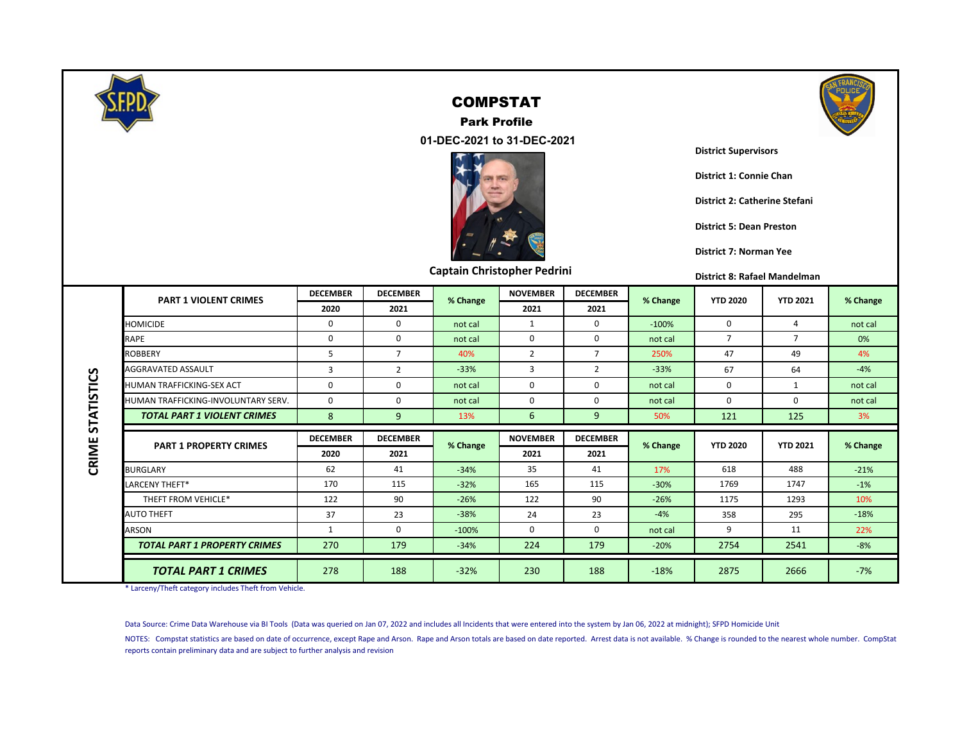

Park Profile



 **01-DEC-2021 to 31-DEC-2021**



**Captain Christopher Pedrini**

**District Supervisors**

**District 1: Connie Chan**

**District 2: Catherine Stefani**

**District 5: Dean Preston**

**District 7: Norman Yee**

**District 8: Rafael Mandelman** 

|                   | <b>PART 1 VIOLENT CRIMES</b>        | <b>DECEMBER</b> | <b>DECEMBER</b> | % Change | <b>NOVEMBER</b> | <b>DECEMBER</b> | % Change | <b>YTD 2020</b> | <b>YTD 2021</b> | % Change |
|-------------------|-------------------------------------|-----------------|-----------------|----------|-----------------|-----------------|----------|-----------------|-----------------|----------|
|                   |                                     | 2020            | 2021            |          | 2021            | 2021            |          |                 |                 |          |
|                   | <b>HOMICIDE</b>                     | $\Omega$        | $\Omega$        | not cal  | 1               | $\Omega$        | $-100%$  | 0               | 4               | not cal  |
|                   | RAPE                                | $\Omega$        | $\Omega$        | not cal  | $\mathbf 0$     | 0               | not cal  | $\overline{7}$  | $\overline{7}$  | 0%       |
|                   | <b>ROBBERY</b>                      | 5               | $\overline{7}$  | 40%      | $\overline{2}$  | $\overline{7}$  | 250%     | 47              | 49              | 4%       |
|                   | <b>AGGRAVATED ASSAULT</b>           | $\overline{3}$  | $\overline{2}$  | $-33%$   | $\overline{3}$  | $\overline{2}$  | $-33%$   | 67              | 64              | $-4%$    |
|                   | <b>HUMAN TRAFFICKING-SEX ACT</b>    | 0               | $\Omega$        | not cal  | 0               | 0               | not cal  | 0               | $\mathbf{1}$    | not cal  |
|                   | HUMAN TRAFFICKING-INVOLUNTARY SERV. | 0               | $\Omega$        | not cal  | 0               | 0               | not cal  | 0               | 0               | not cal  |
| <b>STATISTICS</b> | <b>TOTAL PART 1 VIOLENT CRIMES</b>  | 8               | 9               | 13%      | 6               | 9               | 50%      | 121             | 125             | 3%       |
|                   |                                     |                 |                 |          |                 |                 |          |                 |                 |          |
|                   |                                     | <b>DECEMBER</b> | <b>DECEMBER</b> |          | <b>NOVEMBER</b> | <b>DECEMBER</b> |          |                 |                 |          |
|                   | <b>PART 1 PROPERTY CRIMES</b>       | 2020            | 2021            | % Change | 2021            | 2021            | % Change | <b>YTD 2020</b> | <b>YTD 2021</b> | % Change |
| CRIME             | <b>BURGLARY</b>                     | 62              | 41              | $-34%$   | 35              | 41              | 17%      | 618             | 488             | $-21%$   |
|                   | LARCENY THEFT*                      | 170             | 115             | $-32%$   | 165             | 115             | $-30%$   | 1769            | 1747            | $-1%$    |
|                   | THEFT FROM VEHICLE*                 | 122             | 90              | $-26%$   | 122             | 90              | $-26%$   | 1175            | 1293            | 10%      |
|                   | <b>AUTO THEFT</b>                   | 37              | 23              | $-38%$   | 24              | 23              | $-4%$    | 358             | 295             | $-18%$   |
|                   | ARSON                               | 1               | 0               | $-100%$  | 0               | 0               | not cal  | 9               | 11              | 22%      |
|                   | <b>TOTAL PART 1 PROPERTY CRIMES</b> | 270             | 179             | $-34%$   | 224             | 179             | $-20%$   | 2754            | 2541            | $-8%$    |

\* Larceny/Theft category includes Theft from Vehicle.

Data Source: Crime Data Warehouse via BI Tools (Data was queried on Jan 07, 2022 and includes all Incidents that were entered into the system by Jan 06, 2022 at midnight); SFPD Homicide Unit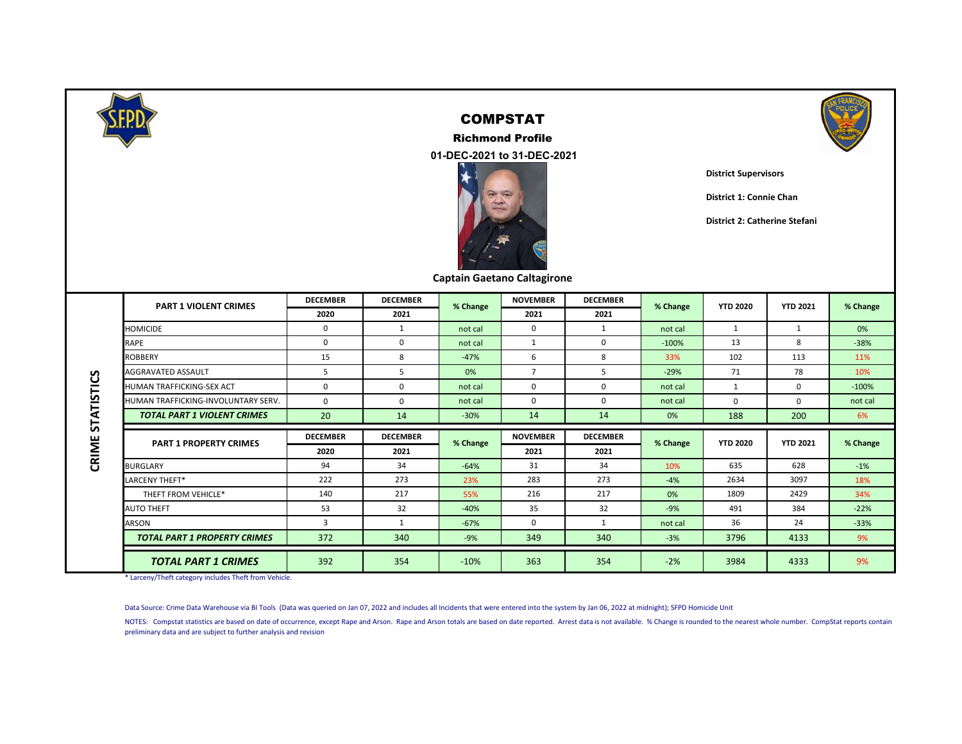

#### COMPSTAT

Richmond Profile





**District Supervisors**

**District 1: Connie Chan**

**District 2: Catherine Stefani**

|  |  | Captain Gaetano Caltagirone |
|--|--|-----------------------------|
|--|--|-----------------------------|

|                   | <b>PART 1 VIOLENT CRIMES</b>        | <b>DECEMBER</b> | <b>DECEMBER</b> | % Change | <b>NOVEMBER</b> | <b>DECEMBER</b> | % Change | <b>YTD 2020</b> | <b>YTD 2021</b> | % Change |
|-------------------|-------------------------------------|-----------------|-----------------|----------|-----------------|-----------------|----------|-----------------|-----------------|----------|
|                   |                                     | 2020            | 2021            |          | 2021            | 2021            |          |                 |                 |          |
|                   | <b>HOMICIDE</b>                     | 0               | $\mathbf{1}$    | not cal  | $\mathbf 0$     | 1               | not cal  | 1               | 1               | 0%       |
|                   | <b>RAPE</b>                         | $\mathbf 0$     | 0               | not cal  | 1               | $\mathbf 0$     | $-100%$  | 13              | 8               | $-38%$   |
|                   | ROBBERY                             | 15              | 8               | $-47%$   | 6               | 8               | 33%      | 102             | 113             | 11%      |
|                   | <b>AGGRAVATED ASSAULT</b>           | 5               | 5               | 0%       | $\overline{7}$  | 5               | $-29%$   | 71              | 78              | 10%      |
|                   | HUMAN TRAFFICKING-SEX ACT           | $\Omega$        | $\Omega$        | not cal  | $\Omega$        | $\Omega$        | not cal  |                 | $\mathbf 0$     | $-100%$  |
|                   | HUMAN TRAFFICKING-INVOLUNTARY SERV. | $\Omega$        | $\Omega$        | not cal  | $\Omega$        | $\Omega$        | not cal  | $\Omega$        | $\Omega$        | not cal  |
| <b>STATISTICS</b> | <b>TOTAL PART 1 VIOLENT CRIMES</b>  | 20              | 14              | $-30%$   | 14              | 14              | 0%       | 188             | 200             | 6%       |
|                   | <b>PART 1 PROPERTY CRIMES</b>       | <b>DECEMBER</b> | <b>DECEMBER</b> |          | <b>NOVEMBER</b> | <b>DECEMBER</b> |          | <b>YTD 2020</b> | <b>YTD 2021</b> |          |
| CRIME             |                                     | 2020            | 2021            | % Change | 2021            | 2021            | % Change |                 |                 | % Change |
|                   | <b>BURGLARY</b>                     | 94              | 34              | $-64%$   | 31              | 34              | 10%      | 635             | 628             | $-1%$    |
|                   | <b>LARCENY THEFT*</b>               | 222             | 273             | 23%      | 283             | 273             | $-4%$    | 2634            | 3097            | 18%      |
|                   | THEFT FROM VEHICLE*                 | 140             | 217             | 55%      | 216             | 217             | 0%       | 1809            | 2429            | 34%      |
|                   | AUTO THEFT                          | 53              | 32              | $-40%$   | 35              | 32              | $-9%$    | 491             | 384             | $-22%$   |
|                   | <b>ARSON</b>                        | 3               | 1               | $-67%$   | $\Omega$        | 1               | not cal  | 36              | 24              | $-33%$   |
|                   | <b>TOTAL PART 1 PROPERTY CRIMES</b> |                 |                 |          | 349             | 340             | $-3%$    | 3796            |                 | 9%       |
|                   |                                     | 372             | 340             | $-9%$    |                 |                 |          |                 | 4133            |          |

\* Larceny/Theft category includes Theft from Vehicle.

Data Source: Crime Data Warehouse via BI Tools (Data was queried on Jan 07, 2022 and includes all Incidents that were entered into the system by Jan 06, 2022 at midnight); SFPD Homicide Unit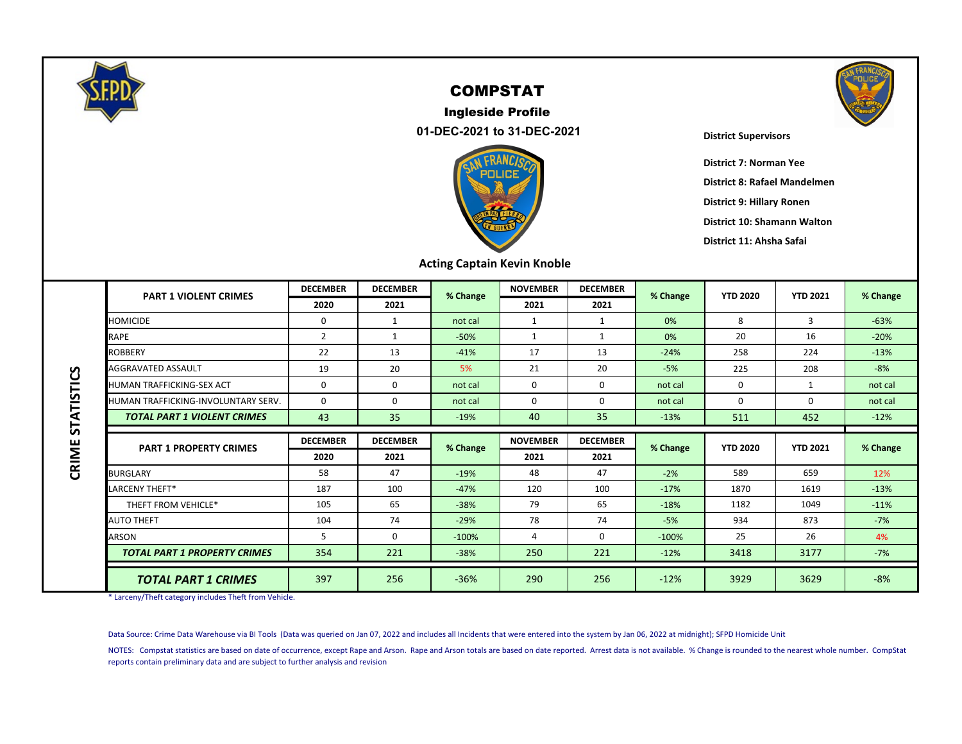

#### Ingleside Profile  **01-DEC-2021 to 31-DEC-2021**



#### **District Supervisors**

**District 7: Norman Yee District 8: Rafael Mandelmen**

**District 9: Hillary Ronen**

**District 10: Shamann Walton**

**District 11: Ahsha Safai**

|                   | <b>PART 1 VIOLENT CRIMES</b>        | <b>DECEMBER</b> | <b>DECEMBER</b> | % Change | <b>NOVEMBER</b> | <b>DECEMBER</b> | % Change | <b>YTD 2020</b> | <b>YTD 2021</b> | % Change |
|-------------------|-------------------------------------|-----------------|-----------------|----------|-----------------|-----------------|----------|-----------------|-----------------|----------|
|                   |                                     | 2020            | 2021            |          | 2021            | 2021            |          |                 |                 |          |
|                   | <b>HOMICIDE</b>                     | 0               | -1              | not cal  | $\mathbf{1}$    | 1               | 0%       | 8               | 3               | $-63%$   |
|                   | RAPE                                | $\overline{2}$  | 1               | $-50%$   | $\mathbf{1}$    | $\mathbf{1}$    | 0%       | 20              | 16              | $-20%$   |
|                   | <b>ROBBERY</b>                      | 22              | 13              | $-41%$   | 17              | 13              | $-24%$   | 258             | 224             | $-13%$   |
|                   | <b>AGGRAVATED ASSAULT</b>           | 19              | 20              | 5%       | 21              | 20              | $-5%$    | 225             | 208             | $-8%$    |
|                   | <b>HUMAN TRAFFICKING-SEX ACT</b>    | 0               | $\Omega$        | not cal  | 0               | $\Omega$        | not cal  | $\Omega$        | 1               | not cal  |
|                   | HUMAN TRAFFICKING-INVOLUNTARY SERV. | 0               | $\Omega$        | not cal  | $\Omega$        | $\Omega$        | not cal  | $\Omega$        | $\Omega$        | not cal  |
| <b>STATISTICS</b> | <b>TOTAL PART 1 VIOLENT CRIMES</b>  | 43              | 35              | $-19%$   | 40              | 35              | $-13%$   | 511             | 452             | $-12%$   |
|                   |                                     |                 |                 |          |                 |                 |          |                 |                 |          |
|                   |                                     | <b>DECEMBER</b> | <b>DECEMBER</b> |          | <b>NOVEMBER</b> | <b>DECEMBER</b> |          |                 |                 |          |
|                   | <b>PART 1 PROPERTY CRIMES</b>       | 2020            | 2021            | % Change | 2021            | 2021            | % Change | <b>YTD 2020</b> | <b>YTD 2021</b> | % Change |
|                   | <b>BURGLARY</b>                     | 58              | 47              | $-19%$   | 48              | 47              | $-2%$    | 589             | 659             | 12%      |
| CRIME             | <b>LARCENY THEFT*</b>               | 187             | 100             | $-47%$   | 120             | 100             | $-17%$   | 1870            | 1619            | $-13%$   |
|                   | THEFT FROM VEHICLE*                 | 105             | 65              | $-38%$   | 79              | 65              | $-18%$   | 1182            | 1049            | $-11%$   |
|                   | <b>AUTO THEFT</b>                   | 104             | 74              | $-29%$   | 78              | 74              | $-5%$    | 934             | 873             | $-7%$    |
|                   | <b>ARSON</b>                        | 5               | $\mathbf 0$     | $-100%$  | 4               | 0               | $-100%$  | 25              | 26              | 4%       |
|                   | <b>TOTAL PART 1 PROPERTY CRIMES</b> | 354             | 221             | $-38%$   | 250             | 221             | $-12%$   | 3418            | 3177            | $-7%$    |

\* Larceny/Theft category includes Theft from Vehicle.

Data Source: Crime Data Warehouse via BI Tools (Data was queried on Jan 07, 2022 and includes all Incidents that were entered into the system by Jan 06, 2022 at midnight); SFPD Homicide Unit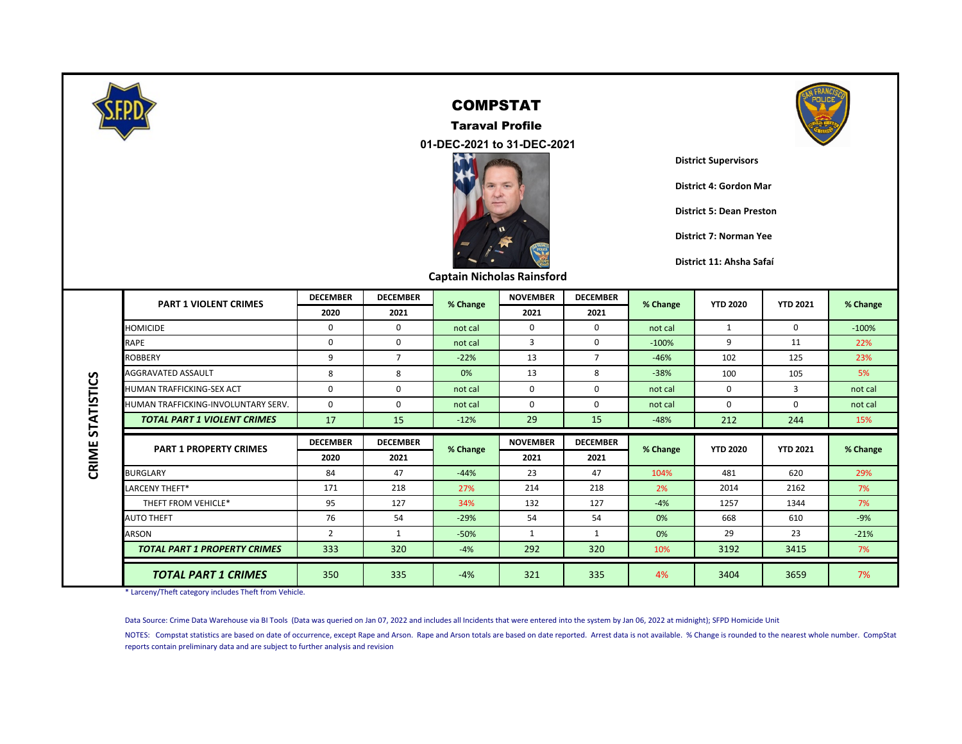

 **01-DEC-2021 to 31-DEC-2021** Taraval Profile



**Captain Nicholas Rainsford**



**District Supervisors**

**District 4: Gordon Mar**

**District 5: Dean Preston**

**District 7: Norman Yee**

**District 11: Ahsha Safaí**

|                   | <b>PART 1 VIOLENT CRIMES</b>        | <b>DECEMBER</b> | <b>DECEMBER</b> | % Change | <b>NOVEMBER</b> | <b>DECEMBER</b> | % Change | <b>YTD 2020</b> | <b>YTD 2021</b> | % Change |
|-------------------|-------------------------------------|-----------------|-----------------|----------|-----------------|-----------------|----------|-----------------|-----------------|----------|
|                   |                                     | 2020            | 2021            |          | 2021            | 2021            |          |                 |                 |          |
|                   | <b>HOMICIDE</b>                     | 0               | 0               | not cal  | 0               | $\mathbf 0$     | not cal  |                 | 0               | $-100%$  |
|                   | RAPE                                | 0               | 0               | not cal  | 3               | 0               | $-100%$  | 9               | 11              | 22%      |
|                   | ROBBERY                             | 9               | 7               | $-22%$   | 13              |                 | $-46%$   | 102             | 125             | 23%      |
|                   | <b>AGGRAVATED ASSAULT</b>           | 8               | 8               | 0%       | 13              | 8               | $-38%$   | 100             | 105             | 5%       |
|                   | HUMAN TRAFFICKING-SEX ACT           | 0               | $\Omega$        | not cal  | $\Omega$        | $\Omega$        | not cal  | $\Omega$        | 3               | not cal  |
|                   | HUMAN TRAFFICKING-INVOLUNTARY SERV. | 0               | $\Omega$        | not cal  | $\Omega$        | $\Omega$        | not cal  | 0               | 0               | not cal  |
| <b>STATISTICS</b> | <b>TOTAL PART 1 VIOLENT CRIMES</b>  | 17              | 15              | $-12%$   | 29              | 15              | $-48%$   | 212             | 244             | 15%      |
|                   |                                     |                 |                 |          |                 |                 |          |                 |                 |          |
|                   |                                     | <b>DECEMBER</b> | <b>DECEMBER</b> |          | <b>NOVEMBER</b> | <b>DECEMBER</b> |          |                 |                 |          |
|                   | <b>PART 1 PROPERTY CRIMES</b>       | 2020            | 2021            | % Change | 2021            | 2021            | % Change | <b>YTD 2020</b> | <b>YTD 2021</b> | % Change |
|                   | <b>BURGLARY</b>                     | 84              | 47              | $-44%$   | 23              | 47              | 104%     | 481             | 620             | 29%      |
| CRIME             | LARCENY THEFT*                      | 171             | 218             | 27%      | 214             | 218             | 2%       | 2014            | 2162            | 7%       |
|                   | THEFT FROM VEHICLE*                 | 95              | 127             | 34%      | 132             | 127             | $-4%$    | 1257            | 1344            | 7%       |
|                   | <b>AUTO THEFT</b>                   | 76              | 54              | $-29%$   | 54              | 54              | 0%       | 668             | 610             | $-9%$    |
|                   | ARSON                               | 2               | $\mathbf{1}$    | $-50%$   | 1               | 1               | 0%       | 29              | 23              | $-21%$   |
|                   | <b>TOTAL PART 1 PROPERTY CRIMES</b> | 333             | 320             | $-4%$    | 292             | 320             | 10%      | 3192            | 3415            | 7%       |

\* Larceny/Theft category includes Theft from Vehicle.

Data Source: Crime Data Warehouse via BI Tools (Data was queried on Jan 07, 2022 and includes all Incidents that were entered into the system by Jan 06, 2022 at midnight); SFPD Homicide Unit